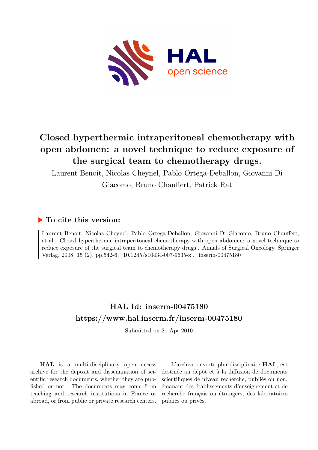

## **Closed hyperthermic intraperitoneal chemotherapy with open abdomen: a novel technique to reduce exposure of the surgical team to chemotherapy drugs.**

Laurent Benoit, Nicolas Cheynel, Pablo Ortega-Deballon, Giovanni Di

Giacomo, Bruno Chauffert, Patrick Rat

### **To cite this version:**

Laurent Benoit, Nicolas Cheynel, Pablo Ortega-Deballon, Giovanni Di Giacomo, Bruno Chauffert, et al.. Closed hyperthermic intraperitoneal chemotherapy with open abdomen: a novel technique to reduce exposure of the surgical team to chemotherapy drugs.. Annals of Surgical Oncology, Springer Verlag, 2008, 15 (2), pp.542-6.  $10.1245/s10434-007-9635-x$ . inserm-00475180

## **HAL Id: inserm-00475180 <https://www.hal.inserm.fr/inserm-00475180>**

Submitted on 21 Apr 2010

**HAL** is a multi-disciplinary open access archive for the deposit and dissemination of scientific research documents, whether they are published or not. The documents may come from teaching and research institutions in France or abroad, or from public or private research centers.

L'archive ouverte pluridisciplinaire **HAL**, est destinée au dépôt et à la diffusion de documents scientifiques de niveau recherche, publiés ou non, émanant des établissements d'enseignement et de recherche français ou étrangers, des laboratoires publics ou privés.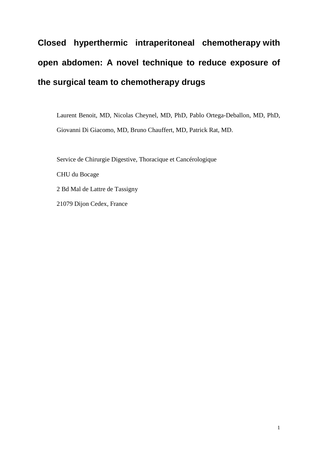# **Closed hyperthermic intraperitoneal chemotherapy with open abdomen: A novel technique to reduce exposure of the surgical team to chemotherapy drugs**

Laurent Benoit, MD, Nicolas Cheynel, MD, PhD, Pablo Ortega-Deballon, MD, PhD, Giovanni Di Giacomo, MD, Bruno Chauffert, MD, Patrick Rat, MD.

Service de Chirurgie Digestive, Thoracique et Cancérologique CHU du Bocage 2 Bd Mal de Lattre de Tassigny 21079 Dijon Cedex, France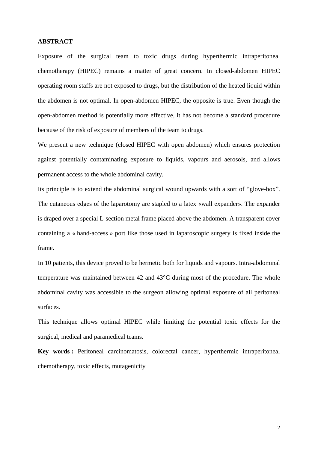#### **ABSTRACT**

Exposure of the surgical team to toxic drugs during hyperthermic intraperitoneal chemotherapy (HIPEC) remains a matter of great concern. In closed-abdomen HIPEC operating room staffs are not exposed to drugs, but the distribution of the heated liquid within the abdomen is not optimal. In open-abdomen HIPEC, the opposite is true. Even though the open-abdomen method is potentially more effective, it has not become a standard procedure because of the risk of exposure of members of the team to drugs.

We present a new technique (closed HIPEC with open abdomen) which ensures protection against potentially contaminating exposure to liquids, vapours and aerosols, and allows permanent access to the whole abdominal cavity.

Its principle is to extend the abdominal surgical wound upwards with a sort of "glove-box". The cutaneous edges of the laparotomy are stapled to a latex «wall expander». The expander is draped over a special L-section metal frame placed above the abdomen. A transparent cover containing a « hand-access » port like those used in laparoscopic surgery is fixed inside the frame.

In 10 patients, this device proved to be hermetic both for liquids and vapours. Intra-abdominal temperature was maintained between 42 and 43°C during most of the procedure. The whole abdominal cavity was accessible to the surgeon allowing optimal exposure of all peritoneal surfaces.

This technique allows optimal HIPEC while limiting the potential toxic effects for the surgical, medical and paramedical teams.

**Key words :** Peritoneal carcinomatosis, colorectal cancer, hyperthermic intraperitoneal chemotherapy, toxic effects, mutagenicity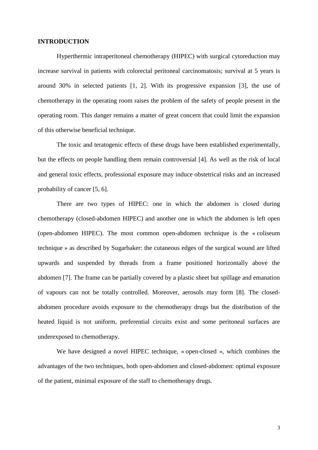#### **INTRODUCTION**

Hyperthermic intraperitoneal chemotherapy (HIPEC) with surgical cytoreduction may increase survival in patients with colorectal peritoneal carcinomatosis; survival at 5 years is around 30% in selected patients [1, 2]. With its progressive expansion [3], the use of chemotherapy in the operating room raises the problem of the safety of people present in the operating room. This danger remains a matter of great concern that could limit the expansion of this otherwise beneficial technique.

The toxic and teratogenic effects of these drugs have been established experimentally, but the effects on people handling them remain controversial [4]. As well as the risk of local and general toxic effects, professional exposure may induce obstetrical risks and an increased probability of cancer [5, 6].

There are two types of HIPEC: one in which the abdomen is closed during chemotherapy (closed-abdomen HIPEC) and another one in which the abdomen is left open (open-abdomen HIPEC). The most common open-abdomen technique is the « coliseum technique » as described by Sugarbaker: the cutaneous edges of the surgical wound are lifted upwards and suspended by threads from a frame positioned horizontally above the abdomen [7]. The frame can be partially covered by a plastic sheet but spillage and emanation of vapours can not be totally controlled. Moreover, aerosols may form [8]. The closedabdomen procedure avoids exposure to the chemotherapy drugs but the distribution of the heated liquid is not uniform, preferential circuits exist and some peritoneal surfaces are underexposed to chemotherapy.

We have designed a novel HIPEC technique, « open-closed », which combines the advantages of the two techniques, both open-abdomen and closed-abdomen: optimal exposure of the patient, minimal exposure of the staff to chemotherapy drugs.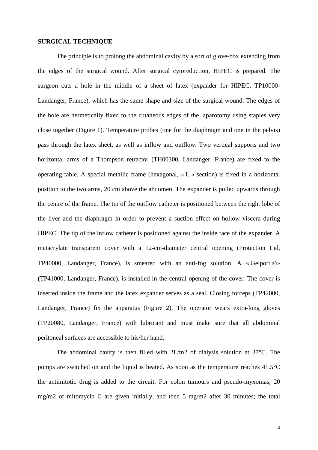#### **SURGICAL TECHNIQUE**

The principle is to prolong the abdominal cavity by a sort of glove-box extending from the edges of the surgical wound. After surgical cytoreduction, HIPEC is prepared. The surgeon cuts a hole in the middle of a sheet of latex (expander for HIPEC, TP10000- Landanger, France), which has the same shape and size of the surgical wound. The edges of the hole are hermetically fixed to the cutaneous edges of the laparotomy using staples very close together (Figure 1). Temperature probes (one for the diaphragm and one in the pelvis) pass through the latex sheet, as well as inflow and outflow. Two vertical supports and two horizontal arms of a Thompson retractor (TH00300, Landanger, France) are fixed to the operating table. A special metallic frame (hexagonal, « L » section) is fixed in a horizontal position to the two arms, 20 cm above the abdomen. The expander is pulled upwards through the centre of the frame. The tip of the outflow catheter is positioned between the right lobe of the liver and the diaphragm in order to prevent a suction effect on hollow viscera during HIPEC. The tip of the inflow catheter is positioned against the inside face of the expander. A metacrylate transparent cover with a 12-cm-diameter central opening (Protection Lid, TP40000, Landanger, France), is smeared with an anti-fog solution. A « Gelport  $\mathbb{B}$ » (TP41000, Landanger, France), is installed in the central opening of the cover. The cover is inserted inside the frame and the latex expander serves as a seal. Closing forceps (TP42000, Landanger, France) fix the apparatus (Figure 2). The operator wears extra-long gloves (TP20080, Landanger, France) with lubricant and must make sure that all abdominal peritoneal surfaces are accessible to his/her hand.

The abdominal cavity is then filled with 2L/m2 of dialysis solution at 37°C. The pumps are switched on and the liquid is heated. As soon as the temperature reaches 41.5°C the antimitotic drug is added to the circuit. For colon tumours and pseudo-myxomas, 20 mg/m2 of mitomycin C are given initially, and then 5 mg/m2 after 30 minutes; the total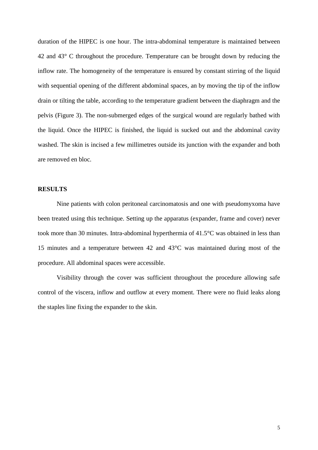duration of the HIPEC is one hour. The intra-abdominal temperature is maintained between 42 and 43° C throughout the procedure. Temperature can be brought down by reducing the inflow rate. The homogeneity of the temperature is ensured by constant stirring of the liquid with sequential opening of the different abdominal spaces, an by moving the tip of the inflow drain or tilting the table, according to the temperature gradient between the diaphragm and the pelvis (Figure 3). The non-submerged edges of the surgical wound are regularly bathed with the liquid. Once the HIPEC is finished, the liquid is sucked out and the abdominal cavity washed. The skin is incised a few millimetres outside its junction with the expander and both are removed en bloc.

#### **RESULTS**

Nine patients with colon peritoneal carcinomatosis and one with pseudomyxoma have been treated using this technique. Setting up the apparatus (expander, frame and cover) never took more than 30 minutes. Intra-abdominal hyperthermia of 41.5°C was obtained in less than 15 minutes and a temperature between 42 and 43°C was maintained during most of the procedure. All abdominal spaces were accessible.

Visibility through the cover was sufficient throughout the procedure allowing safe control of the viscera, inflow and outflow at every moment. There were no fluid leaks along the staples line fixing the expander to the skin.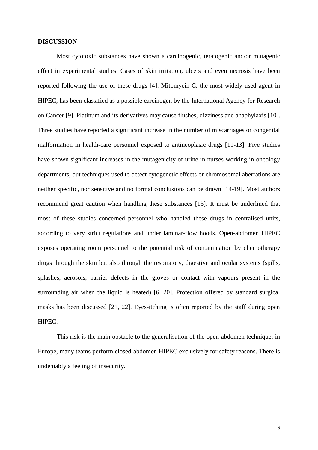#### **DISCUSSION**

Most cytotoxic substances have shown a carcinogenic, teratogenic and/or mutagenic effect in experimental studies. Cases of skin irritation, ulcers and even necrosis have been reported following the use of these drugs [4]. Mitomycin-C, the most widely used agent in HIPEC, has been classified as a possible carcinogen by the International Agency for Research on Cancer [9]. Platinum and its derivatives may cause flushes, dizziness and anaphylaxis [10]. Three studies have reported a significant increase in the number of miscarriages or congenital malformation in health-care personnel exposed to antineoplasic drugs [11-13]. Five studies have shown significant increases in the mutagenicity of urine in nurses working in oncology departments, but techniques used to detect cytogenetic effects or chromosomal aberrations are neither specific, nor sensitive and no formal conclusions can be drawn [14-19]. Most authors recommend great caution when handling these substances [13]. It must be underlined that most of these studies concerned personnel who handled these drugs in centralised units, according to very strict regulations and under laminar-flow hoods. Open-abdomen HIPEC exposes operating room personnel to the potential risk of contamination by chemotherapy drugs through the skin but also through the respiratory, digestive and ocular systems (spills, splashes, aerosols, barrier defects in the gloves or contact with vapours present in the surrounding air when the liquid is heated) [6, 20]. Protection offered by standard surgical masks has been discussed [21, 22]. Eyes-itching is often reported by the staff during open HIPEC.

This risk is the main obstacle to the generalisation of the open-abdomen technique; in Europe, many teams perform closed-abdomen HIPEC exclusively for safety reasons. There is undeniably a feeling of insecurity.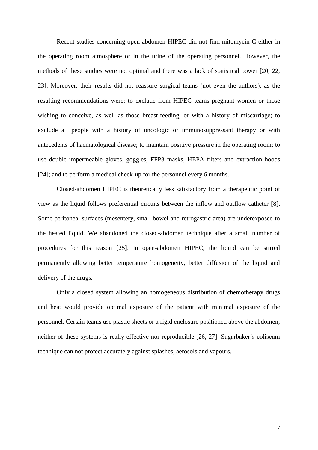Recent studies concerning open-abdomen HIPEC did not find mitomycin-C either in the operating room atmosphere or in the urine of the operating personnel. However, the methods of these studies were not optimal and there was a lack of statistical power [20, 22, 23]. Moreover, their results did not reassure surgical teams (not even the authors), as the resulting recommendations were: to exclude from HIPEC teams pregnant women or those wishing to conceive, as well as those breast-feeding, or with a history of miscarriage; to exclude all people with a history of oncologic or immunosuppressant therapy or with antecedents of haematological disease; to maintain positive pressure in the operating room; to use double impermeable gloves, goggles, FFP3 masks, HEPA filters and extraction hoods [24]; and to perform a medical check-up for the personnel every 6 months.

Closed-abdomen HIPEC is theoretically less satisfactory from a therapeutic point of view as the liquid follows preferential circuits between the inflow and outflow catheter [8]. Some peritoneal surfaces (mesentery, small bowel and retrogastric area) are underexposed to the heated liquid. We abandoned the closed-abdomen technique after a small number of procedures for this reason [25]. In open-abdomen HIPEC, the liquid can be stirred permanently allowing better temperature homogeneity, better diffusion of the liquid and delivery of the drugs.

Only a closed system allowing an homogeneous distribution of chemotherapy drugs and heat would provide optimal exposure of the patient with minimal exposure of the personnel. Certain teams use plastic sheets or a rigid enclosure positioned above the abdomen; neither of these systems is really effective nor reproducible [26, 27]. Sugarbaker's coliseum technique can not protect accurately against splashes, aerosols and vapours.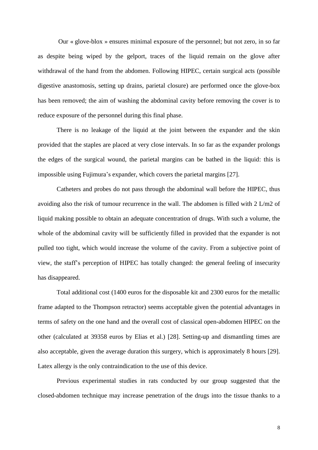Our « glove-blox » ensures minimal exposure of the personnel; but not zero, in so far as despite being wiped by the gelport, traces of the liquid remain on the glove after withdrawal of the hand from the abdomen. Following HIPEC, certain surgical acts (possible digestive anastomosis, setting up drains, parietal closure) are performed once the glove-box has been removed; the aim of washing the abdominal cavity before removing the cover is to reduce exposure of the personnel during this final phase.

There is no leakage of the liquid at the joint between the expander and the skin provided that the staples are placed at very close intervals. In so far as the expander prolongs the edges of the surgical wound, the parietal margins can be bathed in the liquid: this is impossible using Fujimura's expander, which covers the parietal margins [27].

Catheters and probes do not pass through the abdominal wall before the HIPEC, thus avoiding also the risk of tumour recurrence in the wall. The abdomen is filled with 2 L/m2 of liquid making possible to obtain an adequate concentration of drugs. With such a volume, the whole of the abdominal cavity will be sufficiently filled in provided that the expander is not pulled too tight, which would increase the volume of the cavity. From a subjective point of view, the staff's perception of HIPEC has totally changed: the general feeling of insecurity has disappeared.

Total additional cost (1400 euros for the disposable kit and 2300 euros for the metallic frame adapted to the Thompson retractor) seems acceptable given the potential advantages in terms of safety on the one hand and the overall cost of classical open-abdomen HIPEC on the other (calculated at 39358 euros by Elias et al.) [28]. Setting-up and dismantling times are also acceptable, given the average duration this surgery, which is approximately 8 hours [29]. Latex allergy is the only contraindication to the use of this device.

Previous experimental studies in rats conducted by our group suggested that the closed-abdomen technique may increase penetration of the drugs into the tissue thanks to a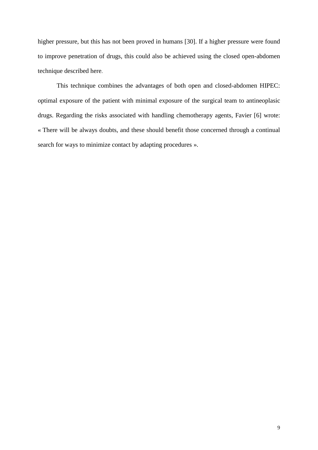higher pressure, but this has not been proved in humans [30]. If a higher pressure were found to improve penetration of drugs, this could also be achieved using the closed open-abdomen technique described here.

This technique combines the advantages of both open and closed-abdomen HIPEC: optimal exposure of the patient with minimal exposure of the surgical team to antineoplasic drugs. Regarding the risks associated with handling chemotherapy agents, Favier [6] wrote: « There will be always doubts, and these should benefit those concerned through a continual search for ways to minimize contact by adapting procedures ».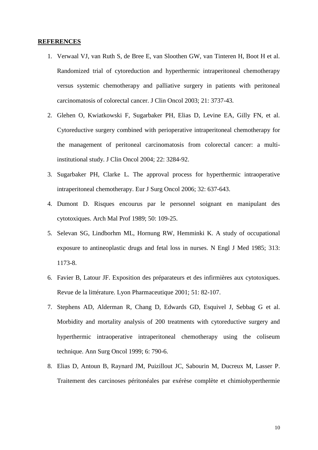#### **REFERENCES**

- 1. Verwaal VJ, van Ruth S, de Bree E, van Sloothen GW, van Tinteren H, Boot H et al. Randomized trial of cytoreduction and hyperthermic intraperitoneal chemotherapy versus systemic chemotherapy and palliative surgery in patients with peritoneal carcinomatosis of colorectal cancer. J Clin Oncol 2003; 21: 3737-43.
- 2. Glehen O, Kwiatkowski F, Sugarbaker PH, Elias D, Levine EA, Gilly FN, et al. Cytoreductive surgery combined with perioperative intraperitoneal chemotherapy for the management of peritoneal carcinomatosis from colorectal cancer: a multiinstitutional study. J Clin Oncol 2004; 22: 3284-92.
- 3. Sugarbaker PH, Clarke L. The approval process for hyperthermic intraoperative intraperitoneal chemotherapy. Eur J Surg Oncol 2006; 32: 637-643.
- 4. Dumont D. Risques encourus par le personnel soignant en manipulant des cytotoxiques. Arch Mal Prof 1989; 50: 109-25.
- 5. Selevan SG, Lindborhm ML, Hornung RW, Hemminki K. A study of occupational exposure to antineoplastic drugs and fetal loss in nurses. N Engl J Med 1985; 313: 1173-8.
- 6. Favier B, Latour JF. Exposition des préparateurs et des infirmières aux cytotoxiques. Revue de la littérature. Lyon Pharmaceutique 2001; 51: 82-107.
- 7. Stephens AD, Alderman R, Chang D, Edwards GD, Esquivel J, Sebbag G et al. Morbidity and mortality analysis of 200 treatments with cytoreductive surgery and hyperthermic intraoperative intraperitoneal chemotherapy using the coliseum technique. Ann Surg Oncol 1999; 6: 790-6.
- 8. Elias D, Antoun B, Raynard JM, Puizillout JC, Sabourin M, Ducreux M, Lasser P. Traitement des carcinoses péritonéales par exérèse complète et chimiohyperthermie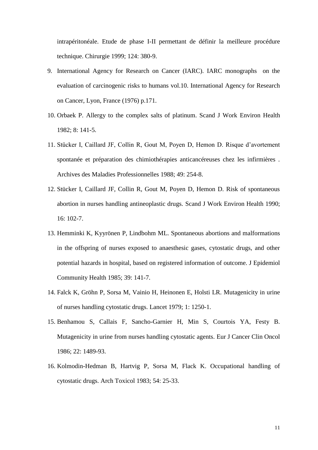intrapéritonéale. Etude de phase I-II permettant de définir la meilleure procédure technique. Chirurgie 1999; 124: 380-9.

- 9. International Agency for Research on Cancer (IARC). IARC monographs on the evaluation of carcinogenic risks to humans vol.10. International Agency for Research on Cancer, Lyon, France (1976) p.171.
- 10. Orbaek P. Allergy to the complex salts of platinum. Scand J Work Environ Health 1982; 8: 141-5.
- 11. Stücker I, Caillard JF, Collin R, Gout M, Poyen D, Hemon D. Risque d'avortement spontanée et préparation des chimiothérapies anticancéreuses chez les infirmières . Archives des Maladies Professionnelles 1988; 49: 254-8.
- 12. Stücker I, Caillard JF, Collin R, Gout M, Poyen D, Hemon D. Risk of spontaneous abortion in nurses handling antineoplastic drugs. Scand J Work Environ Health 1990; 16: 102-7.
- 13. Hemminki K, Kyyrönen P, Lindbohm ML. Spontaneous abortions and malformations in the offspring of nurses exposed to anaesthesic gases, cytostatic drugs, and other potential hazards in hospital, based on registered information of outcome. J Epidemiol Community Health 1985; 39: 141-7.
- 14. Falck K, Gröhn P, Sorsa M, Vainio H, Heinonen E, Holsti LR. Mutagenicity in urine of nurses handling cytostatic drugs. Lancet 1979; 1: 1250-1.
- 15. Benhamou S, Callais F, Sancho-Garnier H, Min S, Courtois YA, Festy B. Mutagenicity in urine from nurses handling cytostatic agents. Eur J Cancer Clin Oncol 1986; 22: 1489-93.
- 16. Kolmodin-Hedman B, Hartvig P, Sorsa M, Flack K. Occupational handling of cytostatic drugs. Arch Toxicol 1983; 54: 25-33.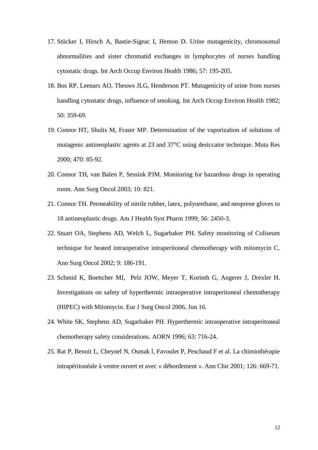- 17. Stücker I, Hirsch A, Bastie-Sigeac I, Hemon D. Urine mutagenicity, chromosomal abnormalities and sister chromatid exchanges in lymphocytes of nurses handling cytostatic drugs. Int Arch Occup Environ Health 1986; 57: 195-205.
- 18. Bos RP, Leenars AO, Theuws JLG, Henderson PT. Mutagenicity of urine from nurses handling cytostatic drugs, influence of smoking. Int Arch Occup Environ Health 1982; 50: 359-69.
- 19. Connor HT, Shults M, Fraser MP. Determination of the vaporization of solutions of mutagenic antineoplastic agents at 23 and 37°C using desiccator technique. Muta Res 2000; 470: 85-92.
- 20. Connor TH, van Balen P, Sessink PJM. Monitoring for hazardous drugs in operating room. Ann Surg Oncol 2003; 10: 821.
- 21. Connor TH. Permeability of nitrile rubber, latex, polyurethane, and neoprene gloves to 18 antineoplastic drugs. Am J Health Syst Pharm 1999; 56: 2450-3.
- 22. Stuart OA, Stephens AD, Welch L, Sugarbaker PH. Safety monitoring of Coliseum technique for heated intraoperative intraperitoneal chemotherapy with mitomycin C. Ann Surg Oncol 2002; 9: 186-191.
- 23. Schmid K, Boettcher MI, Pelz JOW, Meyer T, Korinth G, Angerer J, Drexler H. Investigations on safety of hyperthermic intraoperative intraperitoneal chemotherapy (HIPEC) with Mitomycin. Eur J Surg Oncol 2006, Jun 16.
- 24. White SK, Stephens AD, Sugarbaker PH. Hyperthermic intraoperative intraperitoneal chemotherapy safety considerations. AORN 1996; 63: 716-24.
- 25. Rat P, Benoit L, Cheynel N, Osmak l, Favoulet P, Peschaud F et al. La chimiothérapie intrapéritonéale à ventre ouvert et avec « débordement ». Ann Chir 2001; 126: 669-71.